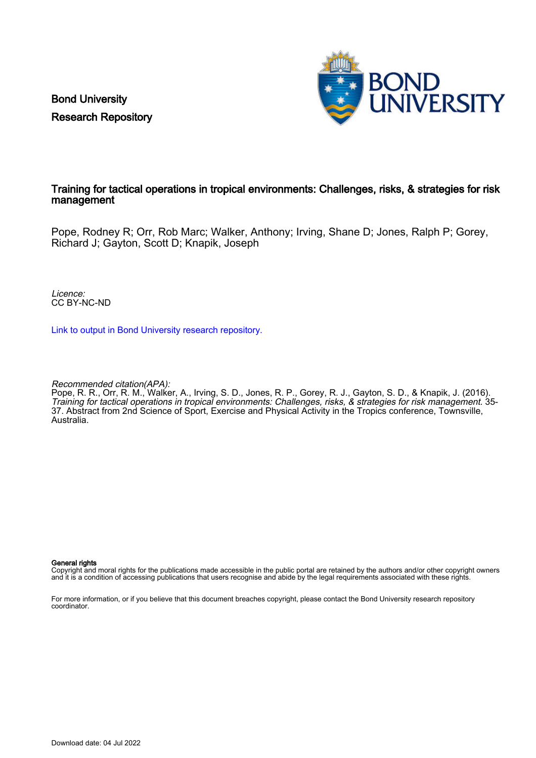Bond University Research Repository



# Training for tactical operations in tropical environments: Challenges, risks, & strategies for risk management

Pope, Rodney R; Orr, Rob Marc; Walker, Anthony; Irving, Shane D; Jones, Ralph P; Gorey, Richard J; Gayton, Scott D; Knapik, Joseph

Licence: CC BY-NC-ND

[Link to output in Bond University research repository.](https://research.bond.edu.au/en/publications/31d07907-57df-43f9-b7e3-e52d53329ffa)

Recommended citation(APA):

Pope, R. R., Orr, R. M., Walker, A., Irving, S. D., Jones, R. P., Gorey, R. J., Gayton, S. D., & Knapik, J. (2016). Training for tactical operations in tropical environments: Challenges, risks, & strategies for risk management. 35- 37. Abstract from 2nd Science of Sport, Exercise and Physical Activity in the Tropics conference, Townsville, Australia.

#### General rights

Copyright and moral rights for the publications made accessible in the public portal are retained by the authors and/or other copyright owners and it is a condition of accessing publications that users recognise and abide by the legal requirements associated with these rights.

For more information, or if you believe that this document breaches copyright, please contact the Bond University research repository coordinator.